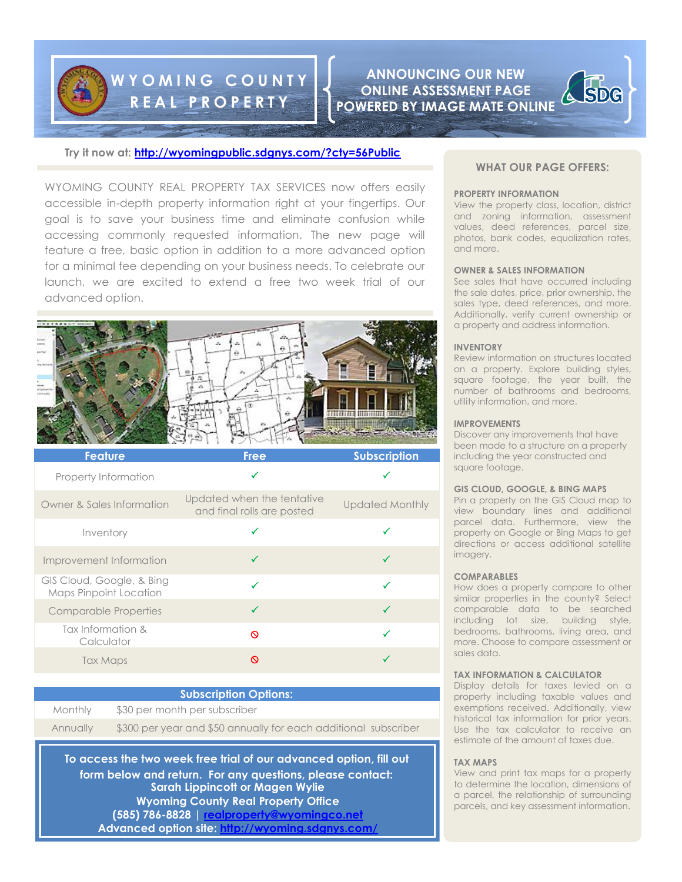# **W Y O M I N G C O U N T Y R E A L P R O P E R T Y**

**ANNOUNCING OUR NEW ONLINE ASSESSMENT PAGE POWERED BY IMAGE MATE ONLINE**

# **Try it now at:<http://wyomingpublic.sdgnys.com/?cty=56Public>**

WYOMING COUNTY REAL PROPERTY TAX SERVICES now offers easily accessible in-depth property information right at your fingertips. Our goal is to save your business time and eliminate confusion while accessing commonly requested information. The new page will feature a free, basic option in addition to a more advanced option for a minimal fee depending on your business needs. To celebrate our launch, we are excited to extend a free two week trial of our advanced option.



| <b>Feature</b>                                      | <b>Free</b>                                              | <b>Subscription</b>    |
|-----------------------------------------------------|----------------------------------------------------------|------------------------|
| Property Information                                |                                                          |                        |
| Owner & Sales Information                           | Updated when the tentative<br>and final rolls are posted | <b>Updated Monthly</b> |
| Inventory                                           | √                                                        |                        |
| Improvement Information                             | ✓                                                        |                        |
| GIS Cloud, Google, & Bing<br>Maps Pinpoint Location | ✓                                                        |                        |
| <b>Comparable Properties</b>                        | ✓                                                        | $\checkmark$           |
| Tax Information &<br>Calculator                     | ര                                                        |                        |
| Tax Maps                                            | ര                                                        |                        |
|                                                     |                                                          |                        |

# **Subscription Options:**

Monthly \$30 per month per subscriber Annually \$300 per year and \$50 annually for each additional subscriber

**To access the two week free trial of our advanced option, fill out form below and return. For any questions, please contact: Sarah Lippincott or Magen Wylie Wyoming County Real Property Office (585) 786-8828 | [realproperty@wyomingco.net](mailto:realproperty@wyomingco.net) Advanced option site:<http://wyoming.sdgnys.com/>**

# **WHAT OUR PAGE OFFERS:**

#### **PROPERTY INFORMATION**

View the property class, location, district and zoning information, assessment values, deed references, parcel size, photos, bank codes, equalization rates, and more.

## **OWNER & SALES INFORMATION**

See sales that have occurred including the sale dates, price, prior ownership, the sales type, deed references, and more. Additionally, verify current ownership or a property and address information.

## **INVENTORY**

Review information on structures located on a property. Explore building styles, square footage, the year built, the number of bathrooms and bedrooms, utility information, and more.

#### **IMPROVEMENTS**

Discover any improvements that have been made to a structure on a property including the year constructed and square footage.

### **GIS CLOUD, GOOGLE, & BING MAPS**

Pin a property on the GIS Cloud map to view boundary lines and additional parcel data. Furthermore, view the property on Google or Bing Maps to get directions or access additional satellite imagery.

#### **COMPARABLES**

How does a property compare to other similar properties in the county? Select comparable data to be searched including lot size, building style, bedrooms, bathrooms, living area, and more. Choose to compare assessment or sales data.

# **TAX INFORMATION & CALCULATOR**

Display details for taxes levied on a property including taxable values and exemptions received. Additionally, view historical tax information for prior years. Use the tax calculator to receive an estimate of the amount of taxes due.

## **TAX MAPS**

View and print tax maps for a property to determine the location, dimensions of a parcel, the relationship of surrounding parcels, and key assessment information.